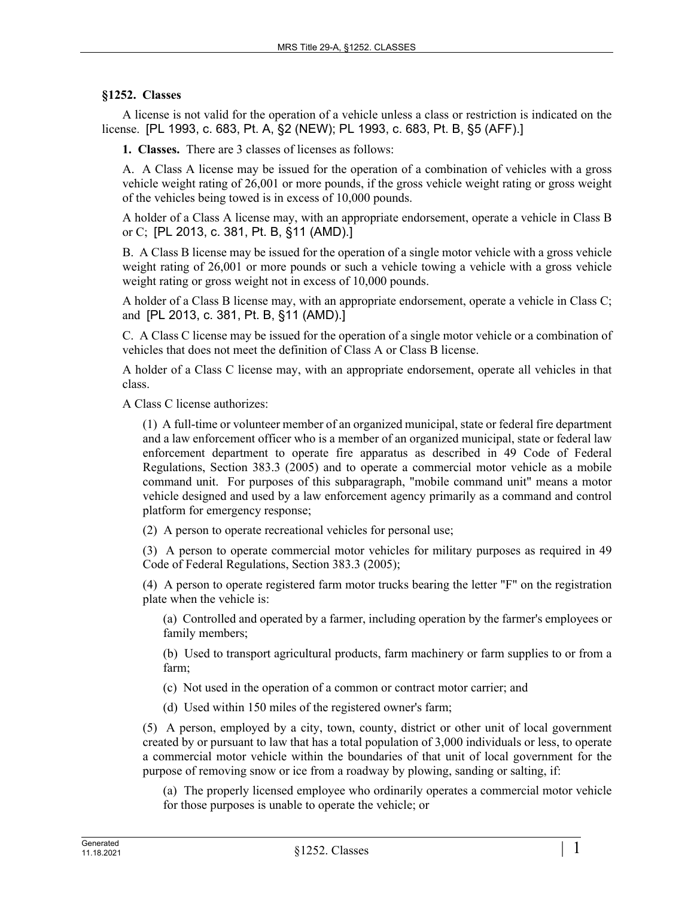## **§1252. Classes**

A license is not valid for the operation of a vehicle unless a class or restriction is indicated on the license. [PL 1993, c. 683, Pt. A, §2 (NEW); PL 1993, c. 683, Pt. B, §5 (AFF).]

**1. Classes.** There are 3 classes of licenses as follows:

A. A Class A license may be issued for the operation of a combination of vehicles with a gross vehicle weight rating of 26,001 or more pounds, if the gross vehicle weight rating or gross weight of the vehicles being towed is in excess of 10,000 pounds.

A holder of a Class A license may, with an appropriate endorsement, operate a vehicle in Class B or C; [PL 2013, c. 381, Pt. B, §11 (AMD).]

B. A Class B license may be issued for the operation of a single motor vehicle with a gross vehicle weight rating of 26,001 or more pounds or such a vehicle towing a vehicle with a gross vehicle weight rating or gross weight not in excess of 10,000 pounds.

A holder of a Class B license may, with an appropriate endorsement, operate a vehicle in Class C; and [PL 2013, c. 381, Pt. B, §11 (AMD).]

C. A Class C license may be issued for the operation of a single motor vehicle or a combination of vehicles that does not meet the definition of Class A or Class B license.

A holder of a Class C license may, with an appropriate endorsement, operate all vehicles in that class.

A Class C license authorizes:

(1) A full-time or volunteer member of an organized municipal, state or federal fire department and a law enforcement officer who is a member of an organized municipal, state or federal law enforcement department to operate fire apparatus as described in 49 Code of Federal Regulations, Section 383.3 (2005) and to operate a commercial motor vehicle as a mobile command unit. For purposes of this subparagraph, "mobile command unit" means a motor vehicle designed and used by a law enforcement agency primarily as a command and control platform for emergency response;

(2) A person to operate recreational vehicles for personal use;

(3) A person to operate commercial motor vehicles for military purposes as required in 49 Code of Federal Regulations, Section 383.3 (2005);

(4) A person to operate registered farm motor trucks bearing the letter "F" on the registration plate when the vehicle is:

(a) Controlled and operated by a farmer, including operation by the farmer's employees or family members;

(b) Used to transport agricultural products, farm machinery or farm supplies to or from a farm;

(c) Not used in the operation of a common or contract motor carrier; and

(d) Used within 150 miles of the registered owner's farm;

(5) A person, employed by a city, town, county, district or other unit of local government created by or pursuant to law that has a total population of 3,000 individuals or less, to operate a commercial motor vehicle within the boundaries of that unit of local government for the purpose of removing snow or ice from a roadway by plowing, sanding or salting, if:

(a) The properly licensed employee who ordinarily operates a commercial motor vehicle for those purposes is unable to operate the vehicle; or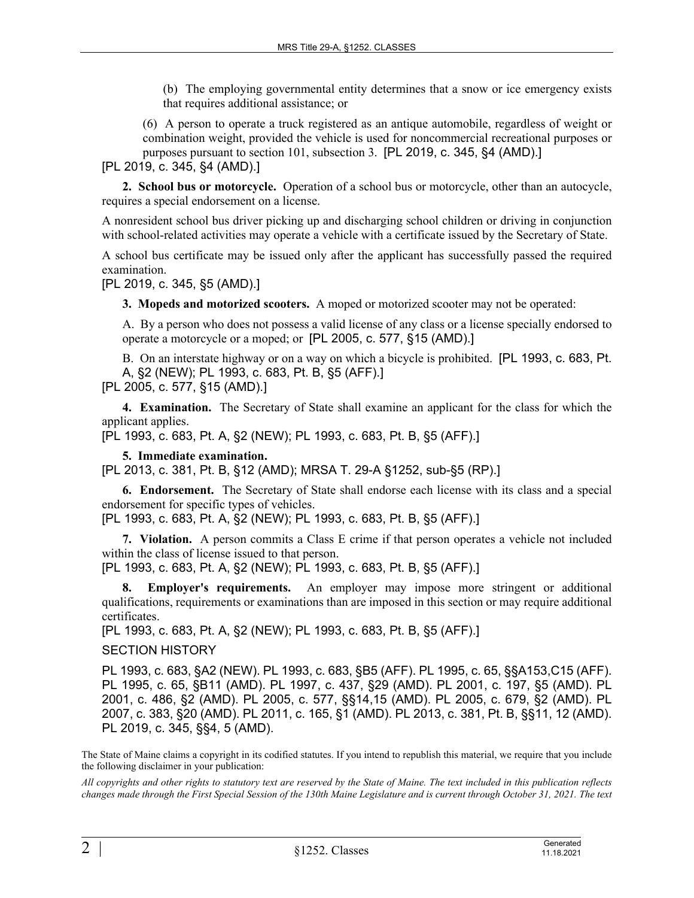(b) The employing governmental entity determines that a snow or ice emergency exists that requires additional assistance; or

(6) A person to operate a truck registered as an antique automobile, regardless of weight or combination weight, provided the vehicle is used for noncommercial recreational purposes or purposes pursuant to section 101, subsection 3. [PL 2019, c. 345, §4 (AMD).]

[PL 2019, c. 345, §4 (AMD).]

**2. School bus or motorcycle.** Operation of a school bus or motorcycle, other than an autocycle, requires a special endorsement on a license.

A nonresident school bus driver picking up and discharging school children or driving in conjunction with school-related activities may operate a vehicle with a certificate issued by the Secretary of State.

A school bus certificate may be issued only after the applicant has successfully passed the required examination.

[PL 2019, c. 345, §5 (AMD).]

**3. Mopeds and motorized scooters.** A moped or motorized scooter may not be operated:

A. By a person who does not possess a valid license of any class or a license specially endorsed to operate a motorcycle or a moped; or [PL 2005, c. 577, §15 (AMD).]

B. On an interstate highway or on a way on which a bicycle is prohibited. [PL 1993, c. 683, Pt. A, §2 (NEW); PL 1993, c. 683, Pt. B, §5 (AFF).]

[PL 2005, c. 577, §15 (AMD).]

**4. Examination.** The Secretary of State shall examine an applicant for the class for which the applicant applies.

[PL 1993, c. 683, Pt. A, §2 (NEW); PL 1993, c. 683, Pt. B, §5 (AFF).]

**5. Immediate examination.** 

[PL 2013, c. 381, Pt. B, §12 (AMD); MRSA T. 29-A §1252, sub-§5 (RP).]

**6. Endorsement.** The Secretary of State shall endorse each license with its class and a special endorsement for specific types of vehicles.

[PL 1993, c. 683, Pt. A, §2 (NEW); PL 1993, c. 683, Pt. B, §5 (AFF).]

**7. Violation.** A person commits a Class E crime if that person operates a vehicle not included within the class of license issued to that person.

[PL 1993, c. 683, Pt. A, §2 (NEW); PL 1993, c. 683, Pt. B, §5 (AFF).]

**8. Employer's requirements.** An employer may impose more stringent or additional qualifications, requirements or examinations than are imposed in this section or may require additional certificates.

[PL 1993, c. 683, Pt. A, §2 (NEW); PL 1993, c. 683, Pt. B, §5 (AFF).]

SECTION HISTORY

PL 1993, c. 683, §A2 (NEW). PL 1993, c. 683, §B5 (AFF). PL 1995, c. 65, §§A153,C15 (AFF). PL 1995, c. 65, §B11 (AMD). PL 1997, c. 437, §29 (AMD). PL 2001, c. 197, §5 (AMD). PL 2001, c. 486, §2 (AMD). PL 2005, c. 577, §§14,15 (AMD). PL 2005, c. 679, §2 (AMD). PL 2007, c. 383, §20 (AMD). PL 2011, c. 165, §1 (AMD). PL 2013, c. 381, Pt. B, §§11, 12 (AMD). PL 2019, c. 345, §§4, 5 (AMD).

The State of Maine claims a copyright in its codified statutes. If you intend to republish this material, we require that you include the following disclaimer in your publication:

*All copyrights and other rights to statutory text are reserved by the State of Maine. The text included in this publication reflects changes made through the First Special Session of the 130th Maine Legislature and is current through October 31, 2021. The text*